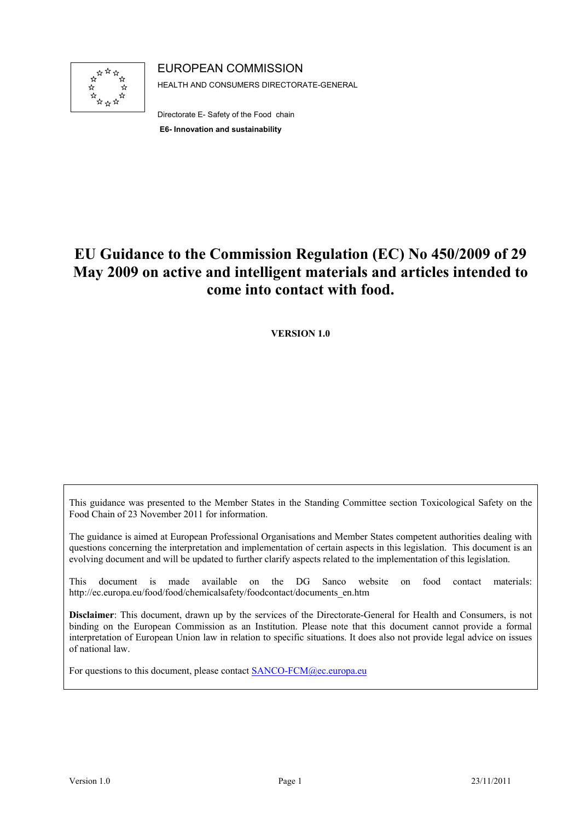

EUROPEAN COMMISSION

HEALTH AND CONSUMERS DIRECTORATE-GENERAL

Directorate E- Safety of the Food chain  **E6- Innovation and sustainability** 

## **EU Guidance to the Commission Regulation (EC) No 450/2009 of 29 May 2009 on active and intelligent materials and articles intended to come into contact with food.**

**VERSION 1.0** 

This guidance was presented to the Member States in the Standing Committee section Toxicological Safety on the Food Chain of 23 November 2011 for information.

The guidance is aimed at European Professional Organisations and Member States competent authorities dealing with questions concerning the interpretation and implementation of certain aspects in this legislation. This document is an evolving document and will be updated to further clarify aspects related to the implementation of this legislation.

This document is made available on the DG Sanco website on food contact materials: http://ec.europa.eu/food/food/chemicalsafety/foodcontact/documents\_en.htm

**Disclaimer**: This document, drawn up by the services of the Directorate-General for Health and Consumers, is not binding on the European Commission as an Institution. Please note that this document cannot provide a formal interpretation of European Union law in relation to specific situations. It does also not provide legal advice on issues of national law.

For questions to this document, please contact SANCO-FCM@ec.europa.eu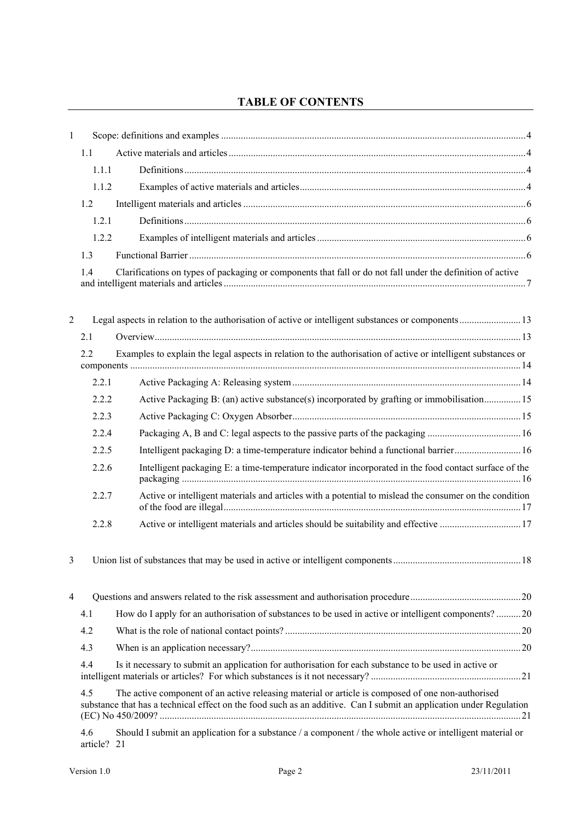### **TABLE OF CONTENTS**

| $\mathbf{1}$   |                    |                                                                                                                                                                                                                          |  |
|----------------|--------------------|--------------------------------------------------------------------------------------------------------------------------------------------------------------------------------------------------------------------------|--|
|                | 1.1                |                                                                                                                                                                                                                          |  |
|                | 1.1.1              |                                                                                                                                                                                                                          |  |
|                | 1.1.2              |                                                                                                                                                                                                                          |  |
|                | 1.2                |                                                                                                                                                                                                                          |  |
|                | 1.2.1              |                                                                                                                                                                                                                          |  |
|                | 1.2.2              |                                                                                                                                                                                                                          |  |
|                | 1.3                |                                                                                                                                                                                                                          |  |
|                | 1.4                | Clarifications on types of packaging or components that fall or do not fall under the definition of active                                                                                                               |  |
|                |                    |                                                                                                                                                                                                                          |  |
|                |                    |                                                                                                                                                                                                                          |  |
| $\overline{2}$ |                    | Legal aspects in relation to the authorisation of active or intelligent substances or components 13                                                                                                                      |  |
|                | 2.1                |                                                                                                                                                                                                                          |  |
|                | 2.2                | Examples to explain the legal aspects in relation to the authorisation of active or intelligent substances or                                                                                                            |  |
|                | 2.2.1              |                                                                                                                                                                                                                          |  |
|                | 2.2.2              | Active Packaging B: (an) active substance(s) incorporated by grafting or immobilisation 15                                                                                                                               |  |
|                | 2.2.3              |                                                                                                                                                                                                                          |  |
|                | 2.2.4              |                                                                                                                                                                                                                          |  |
|                | 2.2.5              | Intelligent packaging D: a time-temperature indicator behind a functional barrier 16                                                                                                                                     |  |
|                | 2.2.6              | Intelligent packaging E: a time-temperature indicator incorporated in the food contact surface of the                                                                                                                    |  |
|                | 2.2.7              | Active or intelligent materials and articles with a potential to mislead the consumer on the condition                                                                                                                   |  |
|                | 2.2.8              |                                                                                                                                                                                                                          |  |
| 3              |                    |                                                                                                                                                                                                                          |  |
| $\overline{4}$ |                    |                                                                                                                                                                                                                          |  |
|                | 4.1                | How do I apply for an authorisation of substances to be used in active or intelligent components? 20                                                                                                                     |  |
|                | 4.2                |                                                                                                                                                                                                                          |  |
|                | 4.3                |                                                                                                                                                                                                                          |  |
|                | 4.4                | Is it necessary to submit an application for authorisation for each substance to be used in active or                                                                                                                    |  |
|                | 4.5                | The active component of an active releasing material or article is composed of one non-authorised<br>substance that has a technical effect on the food such as an additive. Can I submit an application under Regulation |  |
|                | 4.6<br>article? 21 | Should I submit an application for a substance / a component / the whole active or intelligent material or                                                                                                               |  |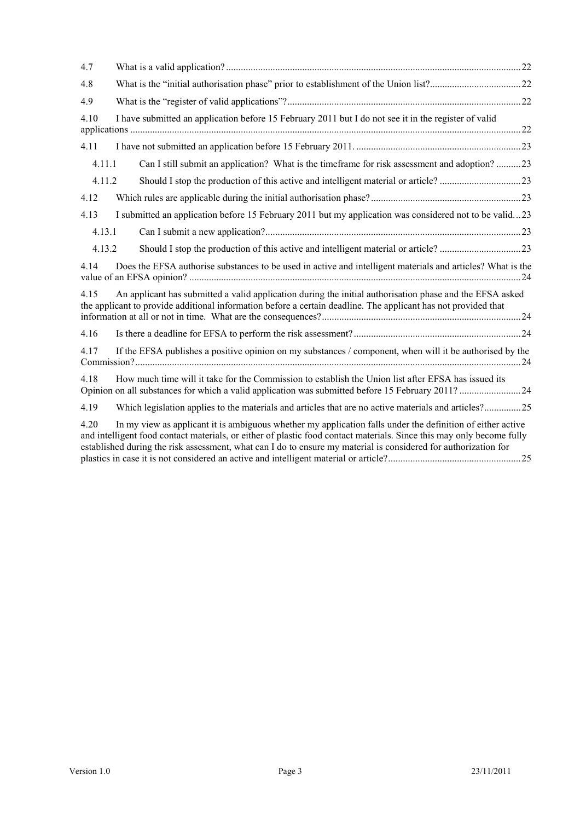| 4.7    |                                                                                                                                                                                                                                                                                                                                                        |  |  |
|--------|--------------------------------------------------------------------------------------------------------------------------------------------------------------------------------------------------------------------------------------------------------------------------------------------------------------------------------------------------------|--|--|
| 4.8    |                                                                                                                                                                                                                                                                                                                                                        |  |  |
| 4.9    |                                                                                                                                                                                                                                                                                                                                                        |  |  |
| 4.10   | I have submitted an application before 15 February 2011 but I do not see it in the register of valid                                                                                                                                                                                                                                                   |  |  |
| 4.11   |                                                                                                                                                                                                                                                                                                                                                        |  |  |
| 4.11.1 | Can I still submit an application? What is the timeframe for risk assessment and adoption? 23                                                                                                                                                                                                                                                          |  |  |
| 4.11.2 |                                                                                                                                                                                                                                                                                                                                                        |  |  |
| 4.12   |                                                                                                                                                                                                                                                                                                                                                        |  |  |
| 4.13   | I submitted an application before 15 February 2011 but my application was considered not to be valid23                                                                                                                                                                                                                                                 |  |  |
| 4.13.1 |                                                                                                                                                                                                                                                                                                                                                        |  |  |
| 4.13.2 |                                                                                                                                                                                                                                                                                                                                                        |  |  |
| 4.14   | Does the EFSA authorise substances to be used in active and intelligent materials and articles? What is the                                                                                                                                                                                                                                            |  |  |
| 4.15   | An applicant has submitted a valid application during the initial authorisation phase and the EFSA asked<br>the applicant to provide additional information before a certain deadline. The applicant has not provided that                                                                                                                             |  |  |
| 4.16   |                                                                                                                                                                                                                                                                                                                                                        |  |  |
| 4.17   | If the EFSA publishes a positive opinion on my substances / component, when will it be authorised by the                                                                                                                                                                                                                                               |  |  |
| 4.18   | How much time will it take for the Commission to establish the Union list after EFSA has issued its                                                                                                                                                                                                                                                    |  |  |
| 4.19   | Which legislation applies to the materials and articles that are no active materials and articles?25                                                                                                                                                                                                                                                   |  |  |
| 4.20   | In my view as applicant it is ambiguous whether my application falls under the definition of either active<br>and intelligent food contact materials, or either of plastic food contact materials. Since this may only become fully<br>established during the risk assessment, what can I do to ensure my material is considered for authorization for |  |  |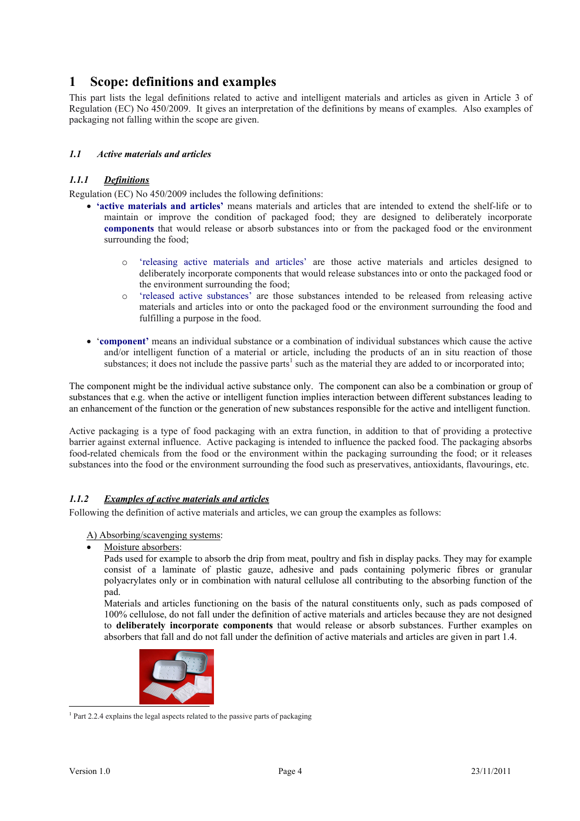### **1 Scope: definitions and examples**

This part lists the legal definitions related to active and intelligent materials and articles as given in Article 3 of Regulation (EC) No 450/2009. It gives an interpretation of the definitions by means of examples. Also examples of packaging not falling within the scope are given.

#### *1.1 Active materials and articles*

#### *1.1.1 Definitions*

Regulation (EC) No 450/2009 includes the following definitions:

- **'active materials and articles'** means materials and articles that are intended to extend the shelf-life or to maintain or improve the condition of packaged food; they are designed to deliberately incorporate **components** that would release or absorb substances into or from the packaged food or the environment surrounding the food;
	- o 'releasing active materials and articles' are those active materials and articles designed to deliberately incorporate components that would release substances into or onto the packaged food or the environment surrounding the food;
	- o 'released active substances' are those substances intended to be released from releasing active materials and articles into or onto the packaged food or the environment surrounding the food and fulfilling a purpose in the food.
- '**component'** means an individual substance or a combination of individual substances which cause the active and/or intelligent function of a material or article, including the products of an in situ reaction of those substances; it does not include the passive parts<sup>1</sup> such as the material they are added to or incorporated into;

The component might be the individual active substance only. The component can also be a combination or group of substances that e.g. when the active or intelligent function implies interaction between different substances leading to an enhancement of the function or the generation of new substances responsible for the active and intelligent function.

Active packaging is a type of food packaging with an extra function, in addition to that of providing a protective barrier against external influence. Active packaging is intended to influence the packed food. The packaging absorbs food-related chemicals from the food or the environment within the packaging surrounding the food; or it releases substances into the food or the environment surrounding the food such as preservatives, antioxidants, flavourings, etc.

#### *1.1.2 Examples of active materials and articles*

Following the definition of active materials and articles, we can group the examples as follows:

A) Absorbing/scavenging systems:

• Moisture absorbers:

Pads used for example to absorb the drip from meat, poultry and fish in display packs. They may for example consist of a laminate of plastic gauze, adhesive and pads containing polymeric fibres or granular polyacrylates only or in combination with natural cellulose all contributing to the absorbing function of the pad.

Materials and articles functioning on the basis of the natural constituents only, such as pads composed of 100% cellulose, do not fall under the definition of active materials and articles because they are not designed to **deliberately incorporate components** that would release or absorb substances. Further examples on absorbers that fall and do not fall under the definition of active materials and articles are given in part 1.4.



 $\overline{a}$ <sup>1</sup> Part 2.2.4 explains the legal aspects related to the passive parts of packaging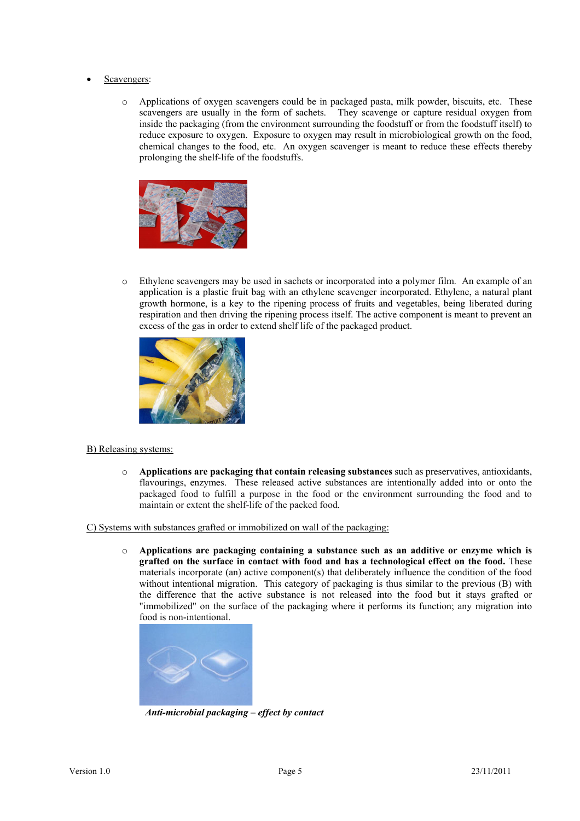#### Scavengers:

o Applications of oxygen scavengers could be in packaged pasta, milk powder, biscuits, etc. These scavengers are usually in the form of sachets. They scavenge or capture residual oxygen from inside the packaging (from the environment surrounding the foodstuff or from the foodstuff itself) to reduce exposure to oxygen. Exposure to oxygen may result in microbiological growth on the food, chemical changes to the food, etc. An oxygen scavenger is meant to reduce these effects thereby prolonging the shelf-life of the foodstuffs.



o Ethylene scavengers may be used in sachets or incorporated into a polymer film. An example of an application is a plastic fruit bag with an ethylene scavenger incorporated. Ethylene, a natural plant growth hormone, is a key to the ripening process of fruits and vegetables, being liberated during respiration and then driving the ripening process itself. The active component is meant to prevent an excess of the gas in order to extend shelf life of the packaged product.



#### B) Releasing systems:

o **Applications are packaging that contain releasing substances** such as preservatives, antioxidants, flavourings, enzymes. These released active substances are intentionally added into or onto the packaged food to fulfill a purpose in the food or the environment surrounding the food and to maintain or extent the shelf-life of the packed food.

#### C) Systems with substances grafted or immobilized on wall of the packaging:

o **Applications are packaging containing a substance such as an additive or enzyme which is grafted on the surface in contact with food and has a technological effect on the food.** These materials incorporate (an) active component(s) that deliberately influence the condition of the food without intentional migration. This category of packaging is thus similar to the previous (B) with the difference that the active substance is not released into the food but it stays grafted or "immobilized" on the surface of the packaging where it performs its function; any migration into food is non-intentional.



*Anti-microbial packaging – effect by contact*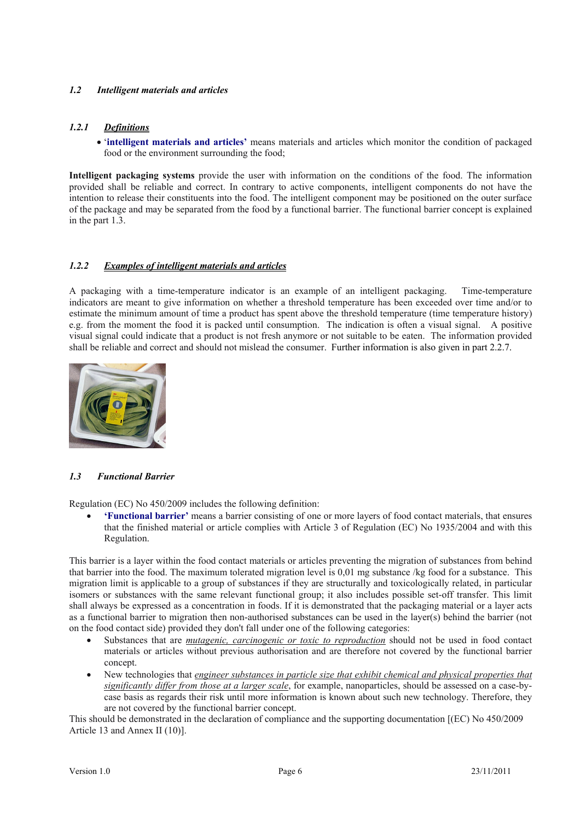#### *1.2 Intelligent materials and articles*

#### *1.2.1 Definitions*

• '**intelligent materials and articles'** means materials and articles which monitor the condition of packaged food or the environment surrounding the food;

**Intelligent packaging systems** provide the user with information on the conditions of the food. The information provided shall be reliable and correct. In contrary to active components, intelligent components do not have the intention to release their constituents into the food. The intelligent component may be positioned on the outer surface of the package and may be separated from the food by a functional barrier. The functional barrier concept is explained in the part 1.3.

#### *1.2.2 Examples of intelligent materials and articles*

A packaging with a time-temperature indicator is an example of an intelligent packaging. Time-temperature indicators are meant to give information on whether a threshold temperature has been exceeded over time and/or to estimate the minimum amount of time a product has spent above the threshold temperature (time temperature history) e.g. from the moment the food it is packed until consumption. The indication is often a visual signal. A positive visual signal could indicate that a product is not fresh anymore or not suitable to be eaten. The information provided shall be reliable and correct and should not mislead the consumer. Further information is also given in part 2.2.7.



#### *1.3 Functional Barrier*

Regulation (EC) No 450/2009 includes the following definition:

• **'Functional barrier'** means a barrier consisting of one or more layers of food contact materials, that ensures that the finished material or article complies with Article 3 of Regulation (EC) No 1935/2004 and with this Regulation.

This barrier is a layer within the food contact materials or articles preventing the migration of substances from behind that barrier into the food. The maximum tolerated migration level is 0,01 mg substance /kg food for a substance. This migration limit is applicable to a group of substances if they are structurally and toxicologically related, in particular isomers or substances with the same relevant functional group; it also includes possible set-off transfer. This limit shall always be expressed as a concentration in foods. If it is demonstrated that the packaging material or a layer acts as a functional barrier to migration then non-authorised substances can be used in the layer(s) behind the barrier (not on the food contact side) provided they don't fall under one of the following categories:

- Substances that are *mutagenic, carcinogenic or toxic to reproduction* should not be used in food contact materials or articles without previous authorisation and are therefore not covered by the functional barrier concept.
- New technologies that *engineer substances in particle size that exhibit chemical and physical properties that significantly differ from those at a larger scale*, for example, nanoparticles, should be assessed on a case-bycase basis as regards their risk until more information is known about such new technology. Therefore, they are not covered by the functional barrier concept.

This should be demonstrated in the declaration of compliance and the supporting documentation [(EC) No 450/2009 Article 13 and Annex II (10)].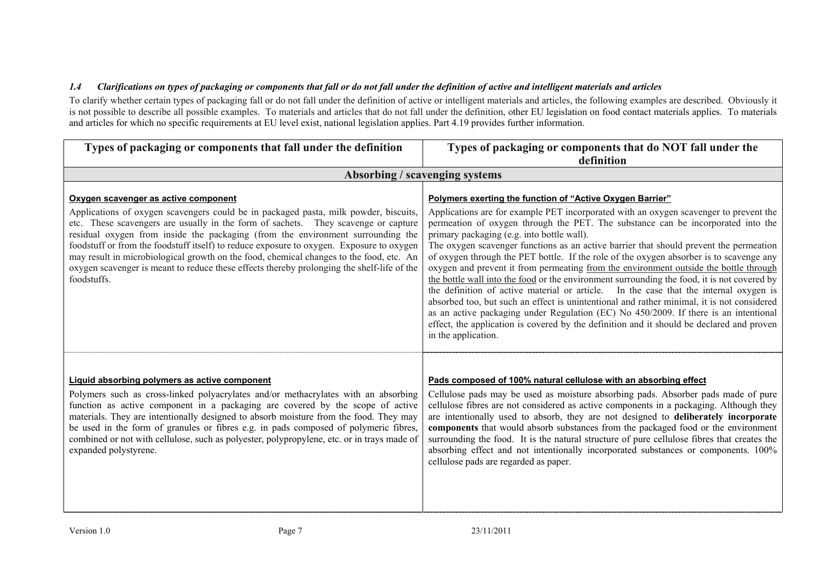#### *1.4Clarifications on types of packaging or components that fall or do not fall under the definition of active and intelligent materials and articles*

To clarify whether certain types of packaging fall or do not fall under the definition of active or intelligent materials and articles, the following examples are described. Obviously it is not possible to describe all possible examples. To materials and articles that do not fall under the definition, other EU legislation on food contact materials applies. To materials and articles for which no specific requirements at EU level exist, national legislation applies. Part 4.19 provides further information.

| Types of packaging or components that fall under the definition                                                                                                                                                                                                                                                                                                                                                                                                                                                                                                                                           | Types of packaging or components that do NOT fall under the<br>definition                                                                                                                                                                                                                                                                                                                                                                                                                                                                                                                                                                                                                                                                                                                                                                                                                                                                                                                                                                                            |  |  |
|-----------------------------------------------------------------------------------------------------------------------------------------------------------------------------------------------------------------------------------------------------------------------------------------------------------------------------------------------------------------------------------------------------------------------------------------------------------------------------------------------------------------------------------------------------------------------------------------------------------|----------------------------------------------------------------------------------------------------------------------------------------------------------------------------------------------------------------------------------------------------------------------------------------------------------------------------------------------------------------------------------------------------------------------------------------------------------------------------------------------------------------------------------------------------------------------------------------------------------------------------------------------------------------------------------------------------------------------------------------------------------------------------------------------------------------------------------------------------------------------------------------------------------------------------------------------------------------------------------------------------------------------------------------------------------------------|--|--|
| Absorbing / scavenging systems                                                                                                                                                                                                                                                                                                                                                                                                                                                                                                                                                                            |                                                                                                                                                                                                                                                                                                                                                                                                                                                                                                                                                                                                                                                                                                                                                                                                                                                                                                                                                                                                                                                                      |  |  |
| Oxygen scavenger as active component<br>Applications of oxygen scavengers could be in packaged pasta, milk powder, biscuits,<br>etc. These scavengers are usually in the form of sachets. They scavenge or capture<br>residual oxygen from inside the packaging (from the environment surrounding the<br>foodstuff or from the foodstuff itself) to reduce exposure to oxygen. Exposure to oxygen<br>may result in microbiological growth on the food, chemical changes to the food, etc. An<br>oxygen scavenger is meant to reduce these effects thereby prolonging the shelf-life of the<br>foodstuffs. | Polymers exerting the function of "Active Oxygen Barrier"<br>Applications are for example PET incorporated with an oxygen scavenger to prevent the<br>permeation of oxygen through the PET. The substance can be incorporated into the<br>primary packaging (e.g. into bottle wall).<br>The oxygen scavenger functions as an active barrier that should prevent the permeation<br>of oxygen through the PET bottle. If the role of the oxygen absorber is to scavenge any<br>oxygen and prevent it from permeating from the environment outside the bottle through<br>the bottle wall into the food or the environment surrounding the food, it is not covered by<br>the definition of active material or article. In the case that the internal oxygen is<br>absorbed too, but such an effect is unintentional and rather minimal, it is not considered<br>as an active packaging under Regulation (EC) No 450/2009. If there is an intentional<br>effect, the application is covered by the definition and it should be declared and proven<br>in the application. |  |  |
| Liquid absorbing polymers as active component<br>Polymers such as cross-linked polyacrylates and/or methacrylates with an absorbing<br>function as active component in a packaging are covered by the scope of active<br>materials. They are intentionally designed to absorb moisture from the food. They may<br>be used in the form of granules or fibres e.g. in pads composed of polymeric fibres,<br>combined or not with cellulose, such as polyester, polypropylene, etc. or in trays made of<br>expanded polystyrene.                                                                             | Pads composed of 100% natural cellulose with an absorbing effect<br>Cellulose pads may be used as moisture absorbing pads. Absorber pads made of pure<br>cellulose fibres are not considered as active components in a packaging. Although they<br>are intentionally used to absorb, they are not designed to deliberately incorporate<br>components that would absorb substances from the packaged food or the environment<br>surrounding the food. It is the natural structure of pure cellulose fibres that creates the<br>absorbing effect and not intentionally incorporated substances or components. 100%<br>cellulose pads are regarded as paper.                                                                                                                                                                                                                                                                                                                                                                                                            |  |  |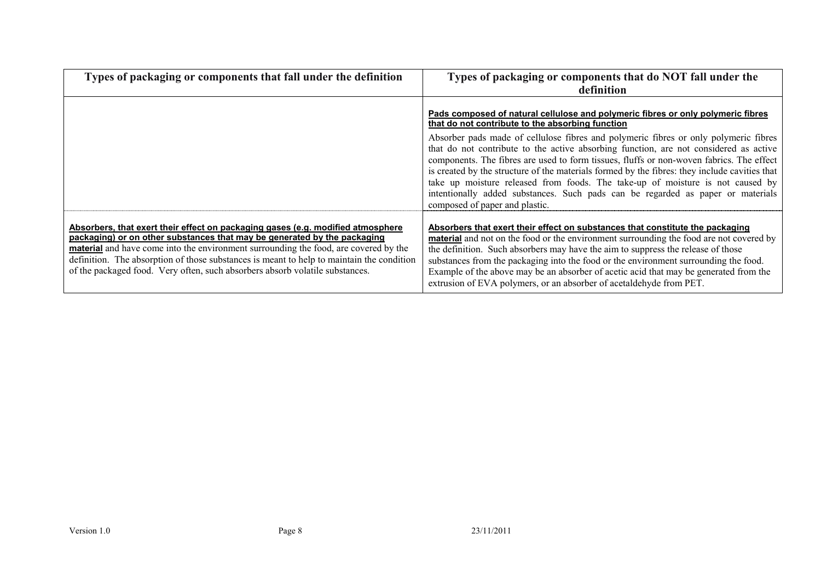| Types of packaging or components that fall under the definition                                                                                                                                                                                                                                                                                                                                                                         | Types of packaging or components that do NOT fall under the<br>definition                                                                                                                                                                                                                                                                                                                                                                                                                                                                                                                                                                                                                                                 |  |  |
|-----------------------------------------------------------------------------------------------------------------------------------------------------------------------------------------------------------------------------------------------------------------------------------------------------------------------------------------------------------------------------------------------------------------------------------------|---------------------------------------------------------------------------------------------------------------------------------------------------------------------------------------------------------------------------------------------------------------------------------------------------------------------------------------------------------------------------------------------------------------------------------------------------------------------------------------------------------------------------------------------------------------------------------------------------------------------------------------------------------------------------------------------------------------------------|--|--|
|                                                                                                                                                                                                                                                                                                                                                                                                                                         | Pads composed of natural cellulose and polymeric fibres or only polymeric fibres<br>that do not contribute to the absorbing function<br>Absorber pads made of cellulose fibres and polymeric fibres or only polymeric fibres<br>that do not contribute to the active absorbing function, are not considered as active<br>components. The fibres are used to form tissues, fluffs or non-woven fabrics. The effect<br>is created by the structure of the materials formed by the fibres: they include cavities that<br>take up moisture released from foods. The take-up of moisture is not caused by<br>intentionally added substances. Such pads can be regarded as paper or materials<br>composed of paper and plastic. |  |  |
| Absorbers, that exert their effect on packaging gases (e.g. modified atmosphere<br>packaging) or on other substances that may be generated by the packaging<br><b>material</b> and have come into the environment surrounding the food, are covered by the<br>definition. The absorption of those substances is meant to help to maintain the condition<br>of the packaged food. Very often, such absorbers absorb volatile substances. | Absorbers that exert their effect on substances that constitute the packaging<br><b>material</b> and not on the food or the environment surrounding the food are not covered by<br>the definition. Such absorbers may have the aim to suppress the release of those<br>substances from the packaging into the food or the environment surrounding the food.<br>Example of the above may be an absorber of acetic acid that may be generated from the<br>extrusion of EVA polymers, or an absorber of acetaldehyde from PET.                                                                                                                                                                                               |  |  |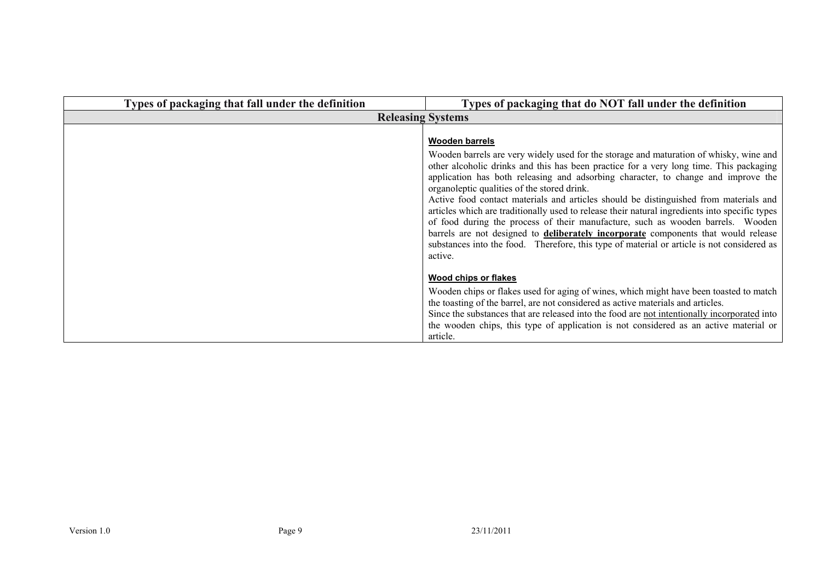| Types of packaging that fall under the definition | Types of packaging that do NOT fall under the definition                                                                                                                                                                                                                                                                                                                                                                                                                                                                                                                                                                                                                                                                                                                                                                   |
|---------------------------------------------------|----------------------------------------------------------------------------------------------------------------------------------------------------------------------------------------------------------------------------------------------------------------------------------------------------------------------------------------------------------------------------------------------------------------------------------------------------------------------------------------------------------------------------------------------------------------------------------------------------------------------------------------------------------------------------------------------------------------------------------------------------------------------------------------------------------------------------|
|                                                   | <b>Releasing Systems</b>                                                                                                                                                                                                                                                                                                                                                                                                                                                                                                                                                                                                                                                                                                                                                                                                   |
|                                                   | <b>Wooden barrels</b><br>Wooden barrels are very widely used for the storage and maturation of whisky, wine and<br>other alcoholic drinks and this has been practice for a very long time. This packaging<br>application has both releasing and adsorbing character, to change and improve the<br>organoleptic qualities of the stored drink.<br>Active food contact materials and articles should be distinguished from materials and<br>articles which are traditionally used to release their natural ingredients into specific types<br>of food during the process of their manufacture, such as wooden barrels. Wooden<br>barrels are not designed to deliberately incorporate components that would release<br>substances into the food. Therefore, this type of material or article is not considered as<br>active. |
|                                                   | <b>Wood chips or flakes</b><br>Wooden chips or flakes used for aging of wines, which might have been toasted to match<br>the toasting of the barrel, are not considered as active materials and articles.<br>Since the substances that are released into the food are not intentionally incorporated into<br>the wooden chips, this type of application is not considered as an active material or<br>article.                                                                                                                                                                                                                                                                                                                                                                                                             |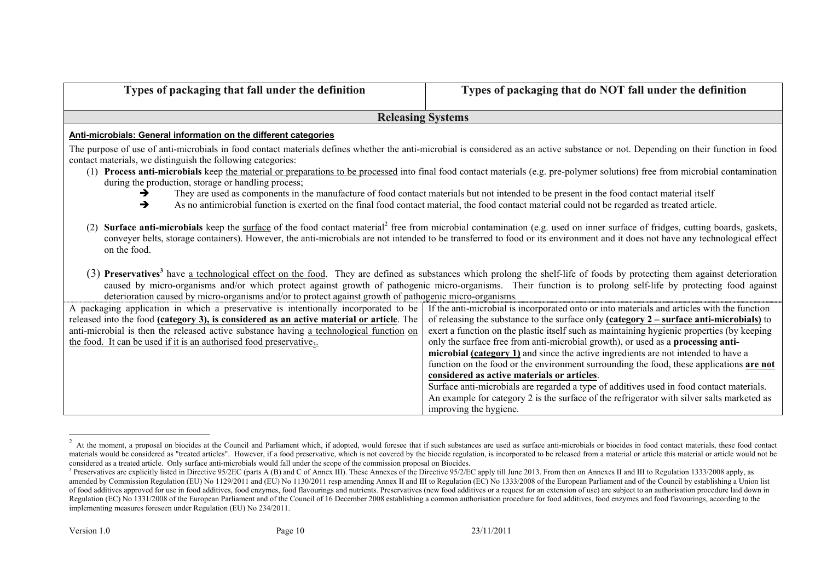| Types of packaging that fall under the definition                                                                                                                                                                                                                                                                                                                                                                                                                                                                                                                                                                                                                                                                                                                                                                                                                                                                                                                                                                                                                                                                                                                                                                                                                                                                                                                                                                                                                                                                                                                   | Types of packaging that do NOT fall under the definition                                                                                                                                                                                                                                                                                                                                                                                                                                                                                                                                                                                                                                                                                                                                                                                           |  |  |
|---------------------------------------------------------------------------------------------------------------------------------------------------------------------------------------------------------------------------------------------------------------------------------------------------------------------------------------------------------------------------------------------------------------------------------------------------------------------------------------------------------------------------------------------------------------------------------------------------------------------------------------------------------------------------------------------------------------------------------------------------------------------------------------------------------------------------------------------------------------------------------------------------------------------------------------------------------------------------------------------------------------------------------------------------------------------------------------------------------------------------------------------------------------------------------------------------------------------------------------------------------------------------------------------------------------------------------------------------------------------------------------------------------------------------------------------------------------------------------------------------------------------------------------------------------------------|----------------------------------------------------------------------------------------------------------------------------------------------------------------------------------------------------------------------------------------------------------------------------------------------------------------------------------------------------------------------------------------------------------------------------------------------------------------------------------------------------------------------------------------------------------------------------------------------------------------------------------------------------------------------------------------------------------------------------------------------------------------------------------------------------------------------------------------------------|--|--|
| <b>Releasing Systems</b>                                                                                                                                                                                                                                                                                                                                                                                                                                                                                                                                                                                                                                                                                                                                                                                                                                                                                                                                                                                                                                                                                                                                                                                                                                                                                                                                                                                                                                                                                                                                            |                                                                                                                                                                                                                                                                                                                                                                                                                                                                                                                                                                                                                                                                                                                                                                                                                                                    |  |  |
| Anti-microbials: General information on the different categories                                                                                                                                                                                                                                                                                                                                                                                                                                                                                                                                                                                                                                                                                                                                                                                                                                                                                                                                                                                                                                                                                                                                                                                                                                                                                                                                                                                                                                                                                                    |                                                                                                                                                                                                                                                                                                                                                                                                                                                                                                                                                                                                                                                                                                                                                                                                                                                    |  |  |
| The purpose of use of anti-microbials in food contact materials defines whether the anti-microbial is considered as an active substance or not. Depending on their function in food<br>contact materials, we distinguish the following categories:<br>(1) Process anti-microbials keep the material or preparations to be processed into final food contact materials (e.g. pre-polymer solutions) free from microbial contamination<br>during the production, storage or handling process;<br>They are used as components in the manufacture of food contact materials but not intended to be present in the food contact material itself<br>→<br>As no antimicrobial function is exerted on the final food contact material, the food contact material could not be regarded as treated article.<br>→<br><b>Surface anti-microbials</b> keep the surface of the food contact material <sup>2</sup> free from microbial contamination (e.g. used on inner surface of fridges, cutting boards, gaskets,<br>conveyer belts, storage containers). However, the anti-microbials are not intended to be transferred to food or its environment and it does not have any technological effect<br>on the food.<br>(3) Preservatives <sup>3</sup> have a technological effect on the food. They are defined as substances which prolong the shelf-life of foods by protecting them against deterioration<br>caused by micro-organisms and/or which protect against growth of pathogenic micro-organisms. Their function is to prolong self-life by protecting food against |                                                                                                                                                                                                                                                                                                                                                                                                                                                                                                                                                                                                                                                                                                                                                                                                                                                    |  |  |
| deterioration caused by micro-organisms and/or to protect against growth of pathogenic micro-organisms.                                                                                                                                                                                                                                                                                                                                                                                                                                                                                                                                                                                                                                                                                                                                                                                                                                                                                                                                                                                                                                                                                                                                                                                                                                                                                                                                                                                                                                                             |                                                                                                                                                                                                                                                                                                                                                                                                                                                                                                                                                                                                                                                                                                                                                                                                                                                    |  |  |
| A packaging application in which a preservative is intentionally incorporated to be<br>released into the food (category 3), is considered as an active material or article. The<br>anti-microbial is then the released active substance having a technological function on<br>the food. It can be used if it is an authorised food preservative <sub>3</sub> .                                                                                                                                                                                                                                                                                                                                                                                                                                                                                                                                                                                                                                                                                                                                                                                                                                                                                                                                                                                                                                                                                                                                                                                                      | If the anti-microbial is incorporated onto or into materials and articles with the function<br>of releasing the substance to the surface only $(categorical \times 2 - surface \text{ anti-microbials})$ to<br>exert a function on the plastic itself such as maintaining hygienic properties (by keeping<br>only the surface free from anti-microbial growth), or used as a processing anti-<br>microbial (category 1) and since the active ingredients are not intended to have a<br>function on the food or the environment surrounding the food, these applications are not<br>considered as active materials or articles.<br>Surface anti-microbials are regarded a type of additives used in food contact materials.<br>An example for category 2 is the surface of the refrigerator with silver salts marketed as<br>improving the hygiene. |  |  |

<sup>&</sup>lt;sup>2</sup> At the moment, a proposal on biocides at the Council and Parliament which, if adopted, would foresee that if such substances are used as surface anti-microbials or biocides in food contact materials, these food contact materials would be considered as "treated articles". However, if a food preservative, which is not covered by the biocide regulation, is incorporated to be released from a material or article this material or article would considered as a treated article. Only surface anti-microbials would fall under the scope of the commission proposal on Biocides.<br><sup>3</sup> Preservatives are explicitly listed in Directive 95/2EC (parts A (B) and C of Annex III).

amended by Commission Regulation (EU) No 1129/2011 and (EU) No 1130/2011 resp amending Annex II and III to Regulation (EC) No 1333/2008 of the European Parliament and of the Council by establishing a Union list of food additives approved for use in food additives, food enzymes, food flavourings and nutrients. Preservatives (new food additives or a request for an extension of use) are subject to an authorisation procedure laid dow Regulation (EC) No 1331/2008 of the European Parliament and of the Council of 16 December 2008 establishing a common authorisation procedure for food additives, food enzymes and food flavourings, according to the implementing measures foreseen under Regulation (EU) No 234/2011.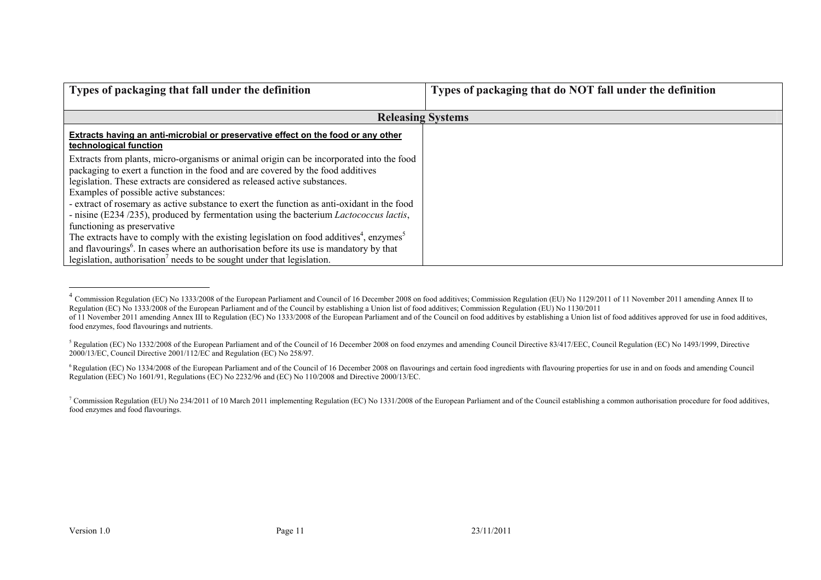| Types of packaging that fall under the definition                                                                                                                                                                                                                                                           | Types of packaging that do NOT fall under the definition |  |  |
|-------------------------------------------------------------------------------------------------------------------------------------------------------------------------------------------------------------------------------------------------------------------------------------------------------------|----------------------------------------------------------|--|--|
|                                                                                                                                                                                                                                                                                                             |                                                          |  |  |
| <b>Releasing Systems</b>                                                                                                                                                                                                                                                                                    |                                                          |  |  |
| Extracts having an anti-microbial or preservative effect on the food or any other<br>technological function                                                                                                                                                                                                 |                                                          |  |  |
| Extracts from plants, micro-organisms or animal origin can be incorporated into the food<br>packaging to exert a function in the food and are covered by the food additives<br>legislation. These extracts are considered as released active substances.<br>Examples of possible active substances:         |                                                          |  |  |
| - extract of rosemary as active substance to exert the function as anti-oxidant in the food<br>- nisine (E234 /235), produced by fermentation using the bacterium Lactococcus lactis,<br>functioning as preservative                                                                                        |                                                          |  |  |
| The extracts have to comply with the existing legislation on food additives <sup>4</sup> , enzymes <sup>5</sup><br>and flavourings <sup>6</sup> . In cases where an authorisation before its use is mandatory by that<br>legislation, authorisation <sup>7</sup> needs to be sought under that legislation. |                                                          |  |  |

<sup>&</sup>lt;sup>4</sup> Commission Regulation (EC) No 1333/2008 of the European Parliament and Council of 16 December 2008 on food additives; Commission Regulation (EU) No 1129/2011 of 11 November 2011 amending Annex II to Regulation (EC) No 1333/2008 of the European Parliament and of the Council by establishing a Union list of food additives; Commission Regulation (EU) No 1130/2011

of 11 November 2011 amending Annex III to Regulation (EC) No 1333/2008 of the European Parliament and of the Council on food additives by establishing a Union list of food additives approved for use in food additives, food enzymes, food flavourings and nutrients.

<sup>&</sup>lt;sup>5</sup> Regulation (EC) No 1332/2008 of the European Parliament and of the Council of 16 December 2008 on food enzymes and amending Council Directive 83/417/EEC, Council Regulation (EC) No 1493/1999, Directive 2000/13/EC, Council Directive 2001/112/EC and Regulation (EC) No 258/97.

<sup>&</sup>lt;sup>6</sup> Regulation (EC) No 1334/2008 of the European Parliament and of the Council of 16 December 2008 on flavourings and certain food ingredients with flavouring properties for use in and on foods and amending Council Regulation (EEC) No 1601/91, Regulations (EC) No 2232/96 and (EC) No 110/2008 and Directive 2000/13/EC.

<sup>&</sup>lt;sup>7</sup> Commission Regulation (EU) No 234/2011 of 10 March 2011 implementing Regulation (EC) No 1331/2008 of the European Parliament and of the Council establishing a common authorisation procedure for food additives, food enzymes and food flavourings.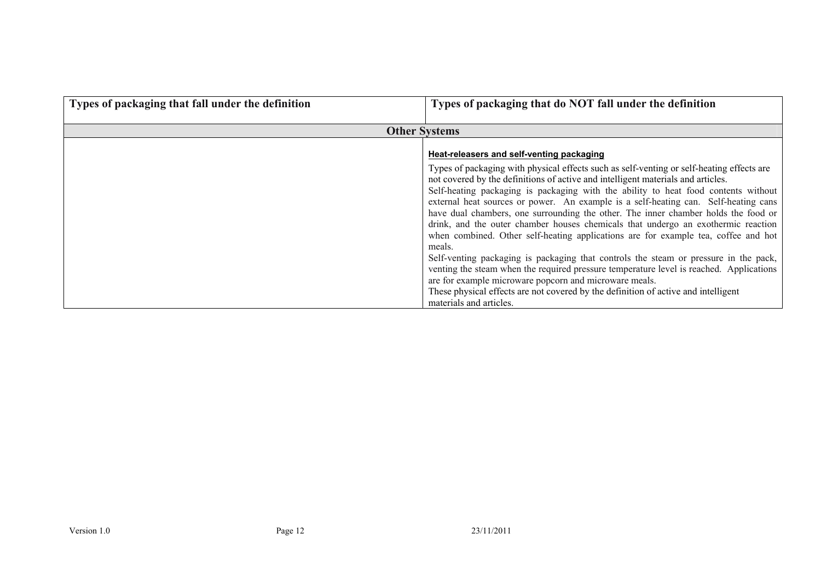| Types of packaging that fall under the definition | Types of packaging that do NOT fall under the definition                                                                                                                                                                                                                                                                                                                                                                                                                                                                                                                                                                                                                                                                                                                                                                                                                                                                                                                                                                                                |  |
|---------------------------------------------------|---------------------------------------------------------------------------------------------------------------------------------------------------------------------------------------------------------------------------------------------------------------------------------------------------------------------------------------------------------------------------------------------------------------------------------------------------------------------------------------------------------------------------------------------------------------------------------------------------------------------------------------------------------------------------------------------------------------------------------------------------------------------------------------------------------------------------------------------------------------------------------------------------------------------------------------------------------------------------------------------------------------------------------------------------------|--|
| <b>Other Systems</b>                              |                                                                                                                                                                                                                                                                                                                                                                                                                                                                                                                                                                                                                                                                                                                                                                                                                                                                                                                                                                                                                                                         |  |
|                                                   | <b>Heat-releasers and self-venting packaging</b><br>Types of packaging with physical effects such as self-venting or self-heating effects are<br>not covered by the definitions of active and intelligent materials and articles.<br>Self-heating packaging is packaging with the ability to heat food contents without<br>external heat sources or power. An example is a self-heating can. Self-heating cans<br>have dual chambers, one surrounding the other. The inner chamber holds the food or<br>drink, and the outer chamber houses chemicals that undergo an exothermic reaction<br>when combined. Other self-heating applications are for example tea, coffee and hot<br>meals.<br>Self-venting packaging is packaging that controls the steam or pressure in the pack,<br>venting the steam when the required pressure temperature level is reached. Applications<br>are for example microware popcorn and microware meals.<br>These physical effects are not covered by the definition of active and intelligent<br>materials and articles. |  |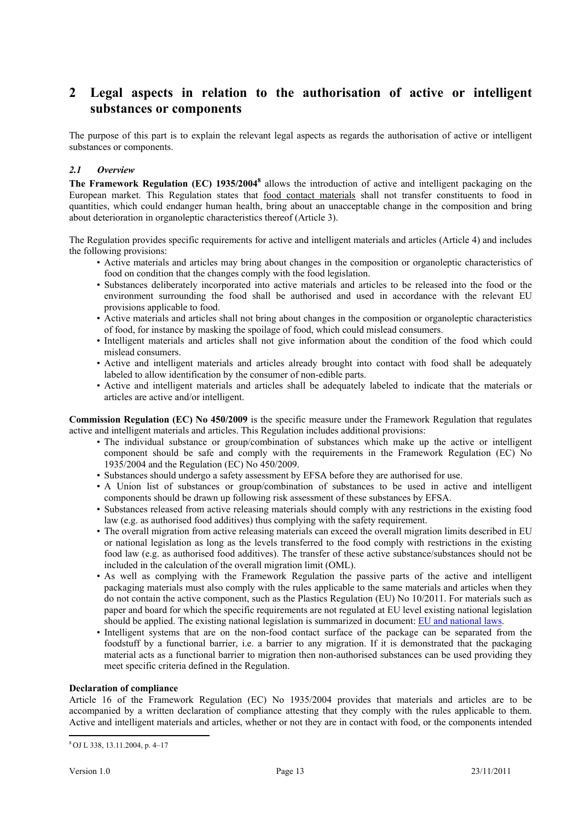### **2 Legal aspects in relation to the authorisation of active or intelligent substances or components**

The purpose of this part is to explain the relevant legal aspects as regards the authorisation of active or intelligent substances or components.

#### *2.1 Overview*

The Framework Regulation (EC) 1935/2004<sup>8</sup> allows the introduction of active and intelligent packaging on the European market. This Regulation states that food contact materials shall not transfer constituents to food in quantities, which could endanger human health, bring about an unacceptable change in the composition and bring about deterioration in organoleptic characteristics thereof (Article 3).

The Regulation provides specific requirements for active and intelligent materials and articles (Article 4) and includes the following provisions:

- Active materials and articles may bring about changes in the composition or organoleptic characteristics of food on condition that the changes comply with the food legislation.
- Substances deliberately incorporated into active materials and articles to be released into the food or the environment surrounding the food shall be authorised and used in accordance with the relevant EU provisions applicable to food.
- Active materials and articles shall not bring about changes in the composition or organoleptic characteristics of food, for instance by masking the spoilage of food, which could mislead consumers.
- Intelligent materials and articles shall not give information about the condition of the food which could mislead consumers.
- Active and intelligent materials and articles already brought into contact with food shall be adequately labeled to allow identification by the consumer of non-edible parts.
- Active and intelligent materials and articles shall be adequately labeled to indicate that the materials or articles are active and/or intelligent.

**Commission Regulation (EC) No 450/2009** is the specific measure under the Framework Regulation that regulates active and intelligent materials and articles. This Regulation includes additional provisions:

- The individual substance or group/combination of substances which make up the active or intelligent component should be safe and comply with the requirements in the Framework Regulation (EC) No 1935/2004 and the Regulation (EC) No 450/2009.
- Substances should undergo a safety assessment by EFSA before they are authorised for use.
- A Union list of substances or group/combination of substances to be used in active and intelligent components should be drawn up following risk assessment of these substances by EFSA.
- Substances released from active releasing materials should comply with any restrictions in the existing food law (e.g. as authorised food additives) thus complying with the safety requirement.
- The overall migration from active releasing materials can exceed the overall migration limits described in EU or national legislation as long as the levels transferred to the food comply with restrictions in the existing food law (e.g. as authorised food additives). The transfer of these active substance/substances should not be included in the calculation of the overall migration limit (OML).
- As well as complying with the Framework Regulation the passive parts of the active and intelligent packaging materials must also comply with the rules applicable to the same materials and articles when they do not contain the active component, such as the Plastics Regulation (EU) No 10/2011. For materials such as paper and board for which the specific requirements are not regulated at EU level existing national legislation should be applied. The existing national legislation is summarized in document: EU and national laws.
- Intelligent systems that are on the non-food contact surface of the package can be separated from the foodstuff by a functional barrier, i.e. a barrier to any migration. If it is demonstrated that the packaging material acts as a functional barrier to migration then non-authorised substances can be used providing they meet specific criteria defined in the Regulation.

#### **Declaration of compliance**

Article 16 of the Framework Regulation (EC) No 1935/2004 provides that materials and articles are to be accompanied by a written declaration of compliance attesting that they comply with the rules applicable to them. Active and intelligent materials and articles, whether or not they are in contact with food, or the components intended

 $\overline{a}$ 8 OJ L 338, 13.11.2004, p. 4–17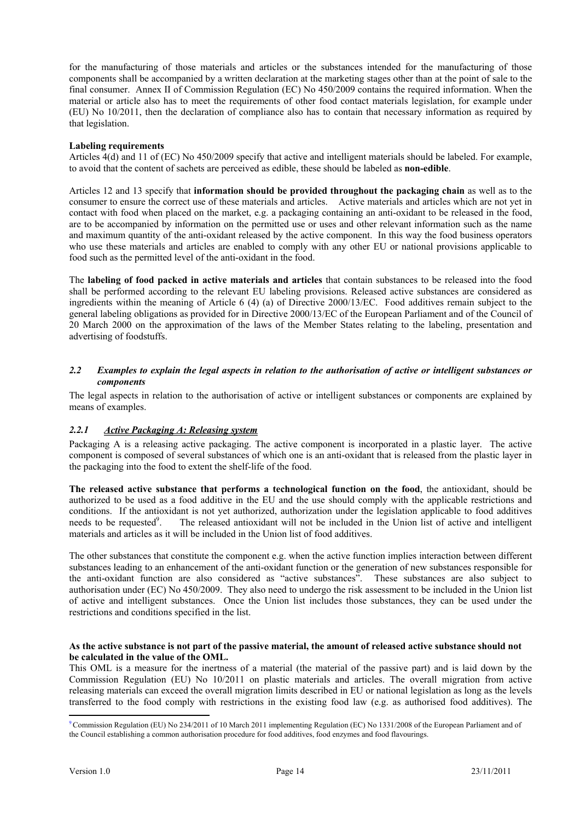for the manufacturing of those materials and articles or the substances intended for the manufacturing of those components shall be accompanied by a written declaration at the marketing stages other than at the point of sale to the final consumer. Annex II of Commission Regulation (EC) No 450/2009 contains the required information. When the material or article also has to meet the requirements of other food contact materials legislation, for example under (EU) No 10/2011, then the declaration of compliance also has to contain that necessary information as required by that legislation.

#### **Labeling requirements**

Articles 4(d) and 11 of (EC) No 450/2009 specify that active and intelligent materials should be labeled. For example, to avoid that the content of sachets are perceived as edible, these should be labeled as **non-edible**.

Articles 12 and 13 specify that **information should be provided throughout the packaging chain** as well as to the consumer to ensure the correct use of these materials and articles. Active materials and articles which are not yet in contact with food when placed on the market, e.g. a packaging containing an anti-oxidant to be released in the food, are to be accompanied by information on the permitted use or uses and other relevant information such as the name and maximum quantity of the anti-oxidant released by the active component. In this way the food business operators who use these materials and articles are enabled to comply with any other EU or national provisions applicable to food such as the permitted level of the anti-oxidant in the food.

The **labeling of food packed in active materials and articles** that contain substances to be released into the food shall be performed according to the relevant EU labeling provisions. Released active substances are considered as ingredients within the meaning of Article 6 (4) (a) of Directive 2000/13/EC. Food additives remain subject to the general labeling obligations as provided for in Directive 2000/13/EC of the European Parliament and of the Council of 20 March 2000 on the approximation of the laws of the Member States relating to the labeling, presentation and advertising of foodstuffs.

#### *2.2 Examples to explain the legal aspects in relation to the authorisation of active or intelligent substances or components*

The legal aspects in relation to the authorisation of active or intelligent substances or components are explained by means of examples.

#### *2.2.1 Active Packaging A: Releasing system*

Packaging A is a releasing active packaging. The active component is incorporated in a plastic layer. The active component is composed of several substances of which one is an anti-oxidant that is released from the plastic layer in the packaging into the food to extent the shelf-life of the food.

**The released active substance that performs a technological function on the food**, the antioxidant, should be authorized to be used as a food additive in the EU and the use should comply with the applicable restrictions and conditions. If the antioxidant is not yet authorized, authorization under the legislation applicable to food additives needs to be requested<sup>9</sup>. . The released antioxidant will not be included in the Union list of active and intelligent materials and articles as it will be included in the Union list of food additives.

The other substances that constitute the component e.g. when the active function implies interaction between different substances leading to an enhancement of the anti-oxidant function or the generation of new substances responsible for the anti-oxidant function are also considered as "active substances". These substances are also subject to authorisation under (EC) No 450/2009. They also need to undergo the risk assessment to be included in the Union list of active and intelligent substances. Once the Union list includes those substances, they can be used under the restrictions and conditions specified in the list.

#### **As the active substance is not part of the passive material, the amount of released active substance should not be calculated in the value of the OML.**

This OML is a measure for the inertness of a material (the material of the passive part) and is laid down by the Commission Regulation (EU) No 10/2011 on plastic materials and articles. The overall migration from active releasing materials can exceed the overall migration limits described in EU or national legislation as long as the levels transferred to the food comply with restrictions in the existing food law (e.g. as authorised food additives). The

 $\overline{a}$ 

<sup>9</sup> Commission Regulation (EU) No 234/2011 of 10 March 2011 implementing Regulation (EC) No 1331/2008 of the European Parliament and of the Council establishing a common authorisation procedure for food additives, food enzymes and food flavourings.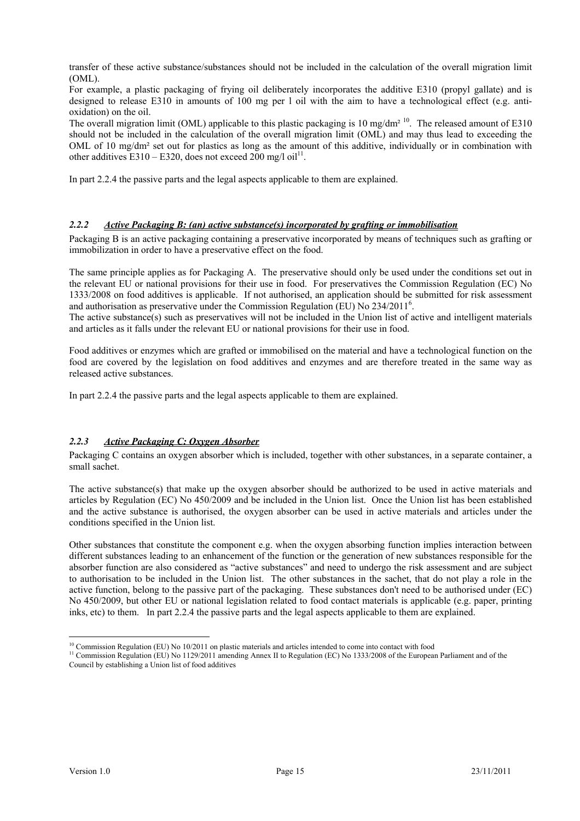transfer of these active substance/substances should not be included in the calculation of the overall migration limit (OML).

For example, a plastic packaging of frying oil deliberately incorporates the additive E310 (propyl gallate) and is designed to release E310 in amounts of 100 mg per l oil with the aim to have a technological effect (e.g. antioxidation) on the oil.

The overall migration limit (OML) applicable to this plastic packaging is 10 mg/dm<sup> $2^{10}$ </sup>. The released amount of E310 should not be included in the calculation of the overall migration limit (OML) and may thus lead to exceeding the OML of 10 mg/dm² set out for plastics as long as the amount of this additive, individually or in combination with other additives E310 – E320, does not exceed 200 mg/l  $\text{oil}^{11}$ .

In part 2.2.4 the passive parts and the legal aspects applicable to them are explained.

#### *2.2.2 Active Packaging B: (an) active substance(s) incorporated by grafting or immobilisation*

Packaging B is an active packaging containing a preservative incorporated by means of techniques such as grafting or immobilization in order to have a preservative effect on the food.

The same principle applies as for Packaging A. The preservative should only be used under the conditions set out in the relevant EU or national provisions for their use in food. For preservatives the Commission Regulation (EC) No 1333/2008 on food additives is applicable. If not authorised, an application should be submitted for risk assessment and authorisation as preservative under the Commission Regulation (EU) No 234/2011<sup>6</sup>.

The active substance(s) such as preservatives will not be included in the Union list of active and intelligent materials and articles as it falls under the relevant EU or national provisions for their use in food.

Food additives or enzymes which are grafted or immobilised on the material and have a technological function on the food are covered by the legislation on food additives and enzymes and are therefore treated in the same way as released active substances.

In part 2.2.4 the passive parts and the legal aspects applicable to them are explained.

#### *2.2.3 Active Packaging C: Oxygen Absorber*

Packaging C contains an oxygen absorber which is included, together with other substances, in a separate container, a small sachet.

The active substance(s) that make up the oxygen absorber should be authorized to be used in active materials and articles by Regulation (EC) No 450/2009 and be included in the Union list. Once the Union list has been established and the active substance is authorised, the oxygen absorber can be used in active materials and articles under the conditions specified in the Union list.

Other substances that constitute the component e.g. when the oxygen absorbing function implies interaction between different substances leading to an enhancement of the function or the generation of new substances responsible for the absorber function are also considered as "active substances" and need to undergo the risk assessment and are subject to authorisation to be included in the Union list. The other substances in the sachet, that do not play a role in the active function, belong to the passive part of the packaging. These substances don't need to be authorised under (EC) No 450/2009, but other EU or national legislation related to food contact materials is applicable (e.g. paper, printing inks, etc) to them. In part 2.2.4 the passive parts and the legal aspects applicable to them are explained.

 $10$  Commission Regulation (EU) No  $10/2011$  on plastic materials and articles intended to come into contact with food

<sup>&</sup>lt;sup>11</sup> Commission Regulation (EU) No 1129/2011 amending Annex II to Regulation (EC) No 1333/2008 of the European Parliament and of the Council by establishing a Union list of food additives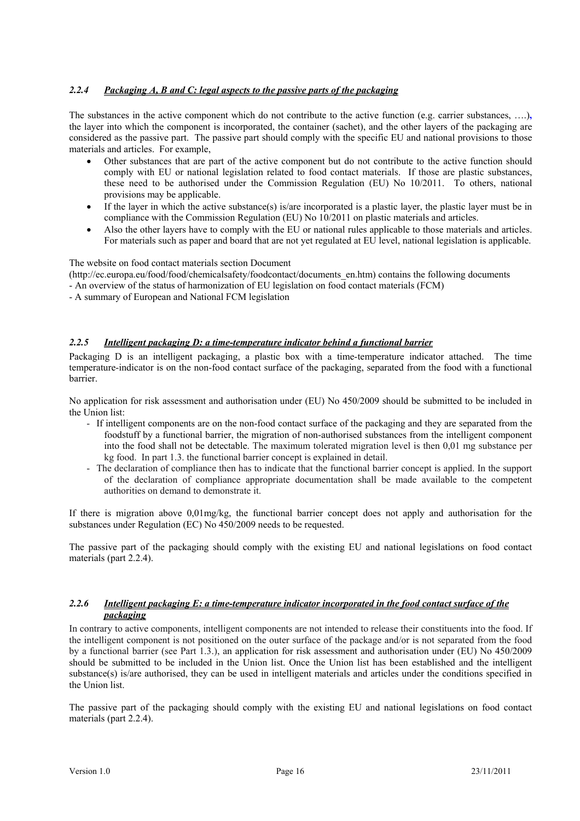#### *2.2.4 Packaging A, B and C: legal aspects to the passive parts of the packaging*

The substances in the active component which do not contribute to the active function (e.g. carrier substances, ….) the layer into which the component is incorporated, the container (sachet), and the other layers of the packaging are considered as the passive part. The passive part should comply with the specific EU and national provisions to those materials and articles. For example,

- Other substances that are part of the active component but do not contribute to the active function should comply with EU or national legislation related to food contact materials. If those are plastic substances, these need to be authorised under the Commission Regulation (EU) No 10/2011. To others, national provisions may be applicable.
- If the layer in which the active substance(s) is/are incorporated is a plastic layer, the plastic layer must be in compliance with the Commission Regulation (EU) No 10/2011 on plastic materials and articles.
- Also the other layers have to comply with the EU or national rules applicable to those materials and articles. For materials such as paper and board that are not yet regulated at EU level, national legislation is applicable.

The website on food contact materials section Document

(http://ec.europa.eu/food/food/chemicalsafety/foodcontact/documents\_en.htm) contains the following documents

- An overview of the status of harmonization of EU legislation on food contact materials (FCM)

- A summary of European and National FCM legislation

#### *2.2.5 Intelligent packaging D: a time-temperature indicator behind a functional barrier*

Packaging D is an intelligent packaging, a plastic box with a time-temperature indicator attached. The time temperature-indicator is on the non-food contact surface of the packaging, separated from the food with a functional barrier.

No application for risk assessment and authorisation under (EU) No 450/2009 should be submitted to be included in the Union list:

- If intelligent components are on the non-food contact surface of the packaging and they are separated from the foodstuff by a functional barrier, the migration of non-authorised substances from the intelligent component into the food shall not be detectable. The maximum tolerated migration level is then 0,01 mg substance per kg food. In part 1.3. the functional barrier concept is explained in detail.
- The declaration of compliance then has to indicate that the functional barrier concept is applied. In the support of the declaration of compliance appropriate documentation shall be made available to the competent authorities on demand to demonstrate it.

If there is migration above 0,01mg/kg, the functional barrier concept does not apply and authorisation for the substances under Regulation (EC) No 450/2009 needs to be requested.

The passive part of the packaging should comply with the existing EU and national legislations on food contact materials (part 2.2.4).

#### *2.2.6 Intelligent packaging E: a time-temperature indicator incorporated in the food contact surface of the packaging*

In contrary to active components, intelligent components are not intended to release their constituents into the food. If the intelligent component is not positioned on the outer surface of the package and/or is not separated from the food by a functional barrier (see Part 1.3.), an application for risk assessment and authorisation under (EU) No 450/2009 should be submitted to be included in the Union list. Once the Union list has been established and the intelligent substance(s) is/are authorised, they can be used in intelligent materials and articles under the conditions specified in the Union list.

The passive part of the packaging should comply with the existing EU and national legislations on food contact materials (part 2.2.4).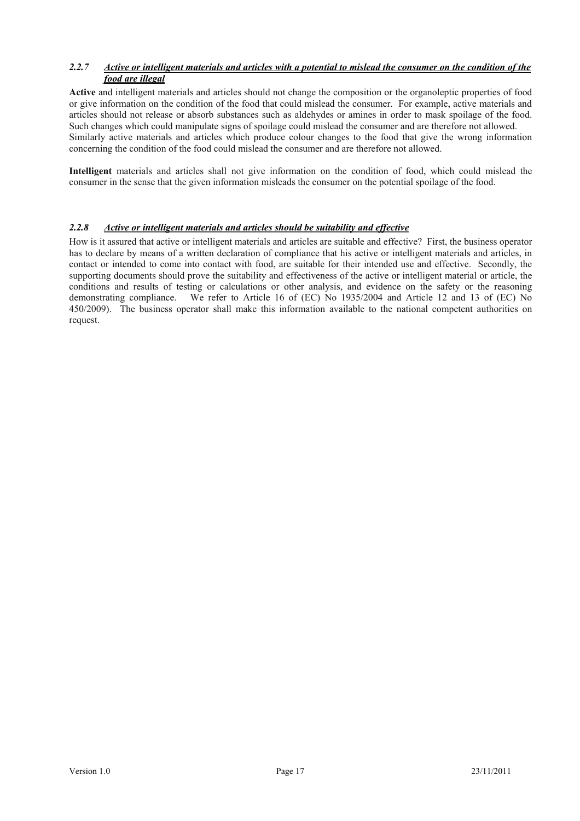#### *2.2.7 Active or intelligent materials and articles with a potential to mislead the consumer on the condition of the food are illegal*

**Active** and intelligent materials and articles should not change the composition or the organoleptic properties of food or give information on the condition of the food that could mislead the consumer. For example, active materials and articles should not release or absorb substances such as aldehydes or amines in order to mask spoilage of the food. Such changes which could manipulate signs of spoilage could mislead the consumer and are therefore not allowed. Similarly active materials and articles which produce colour changes to the food that give the wrong information concerning the condition of the food could mislead the consumer and are therefore not allowed.

**Intelligent** materials and articles shall not give information on the condition of food, which could mislead the consumer in the sense that the given information misleads the consumer on the potential spoilage of the food.

#### *2.2.8 Active or intelligent materials and articles should be suitability and effective*

How is it assured that active or intelligent materials and articles are suitable and effective? First, the business operator has to declare by means of a written declaration of compliance that his active or intelligent materials and articles, in contact or intended to come into contact with food, are suitable for their intended use and effective. Secondly, the supporting documents should prove the suitability and effectiveness of the active or intelligent material or article, the conditions and results of testing or calculations or other analysis, and evidence on the safety or the reasoning demonstrating compliance. We refer to Article 16 of (EC) No 1935/2004 and Article 12 and 13 of (EC) No 450/2009). The business operator shall make this information available to the national competent authorities on request.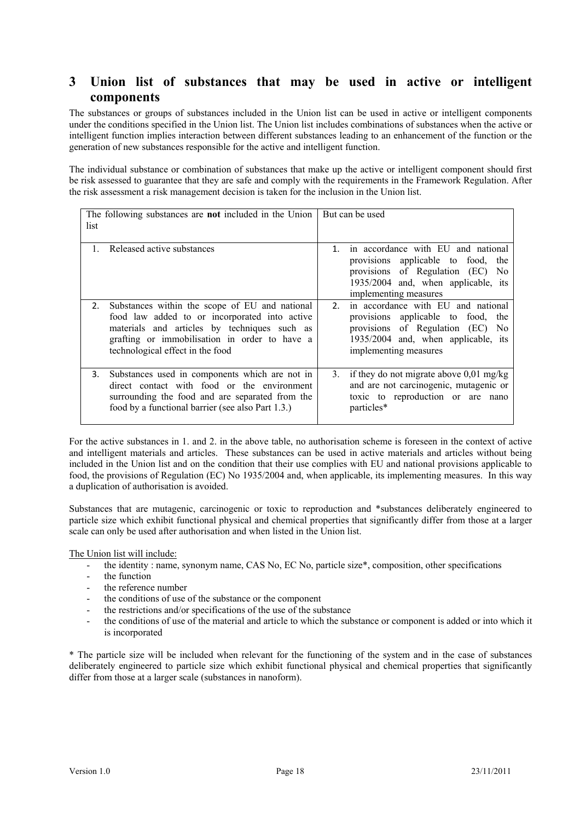### **3 Union list of substances that may be used in active or intelligent components**

The substances or groups of substances included in the Union list can be used in active or intelligent components under the conditions specified in the Union list. The Union list includes combinations of substances when the active or intelligent function implies interaction between different substances leading to an enhancement of the function or the generation of new substances responsible for the active and intelligent function.

The individual substance or combination of substances that make up the active or intelligent component should first be risk assessed to guarantee that they are safe and comply with the requirements in the Framework Regulation. After the risk assessment a risk management decision is taken for the inclusion in the Union list.

| The following substances are <b>not</b> included in the Union<br>list |                                                                                                                                                                                                                                      |              | But can be used                                                                                                                                                                             |  |
|-----------------------------------------------------------------------|--------------------------------------------------------------------------------------------------------------------------------------------------------------------------------------------------------------------------------------|--------------|---------------------------------------------------------------------------------------------------------------------------------------------------------------------------------------------|--|
| $\mathbf{1}$                                                          | Released active substances                                                                                                                                                                                                           | $\mathbf{1}$ | in accordance with EU and national<br>provisions applicable to food, the<br>provisions of Regulation (EC)<br>N <sub>0</sub><br>1935/2004 and, when applicable, its<br>implementing measures |  |
| 2.                                                                    | Substances within the scope of EU and national<br>food law added to or incorporated into active<br>materials and articles by techniques such as<br>grafting or immobilisation in order to have a<br>technological effect in the food | 2.           | in accordance with EU and national<br>provisions applicable to food, the<br>provisions of Regulation (EC)<br>No.<br>1935/2004 and, when applicable, its<br>implementing measures            |  |
| 3.                                                                    | Substances used in components which are not in<br>direct contact with food or the environment<br>surrounding the food and are separated from the<br>food by a functional barrier (see also Part 1.3.)                                | 3.           | if they do not migrate above $0.01 \text{ mg/kg}$<br>and are not carcinogenic, mutagenic or<br>toxic to reproduction or are nano<br>particles*                                              |  |

For the active substances in 1. and 2. in the above table, no authorisation scheme is foreseen in the context of active and intelligent materials and articles. These substances can be used in active materials and articles without being included in the Union list and on the condition that their use complies with EU and national provisions applicable to food, the provisions of Regulation (EC) No 1935/2004 and, when applicable, its implementing measures. In this way a duplication of authorisation is avoided.

Substances that are mutagenic, carcinogenic or toxic to reproduction and \*substances deliberately engineered to particle size which exhibit functional physical and chemical properties that significantly differ from those at a larger scale can only be used after authorisation and when listed in the Union list.

The Union list will include:

- the identity : name, synonym name, CAS No, EC No, particle size\*, composition, other specifications
- the function
- the reference number
- the conditions of use of the substance or the component
- the restrictions and/or specifications of the use of the substance
- the conditions of use of the material and article to which the substance or component is added or into which it is incorporated

\* The particle size will be included when relevant for the functioning of the system and in the case of substances deliberately engineered to particle size which exhibit functional physical and chemical properties that significantly differ from those at a larger scale (substances in nanoform).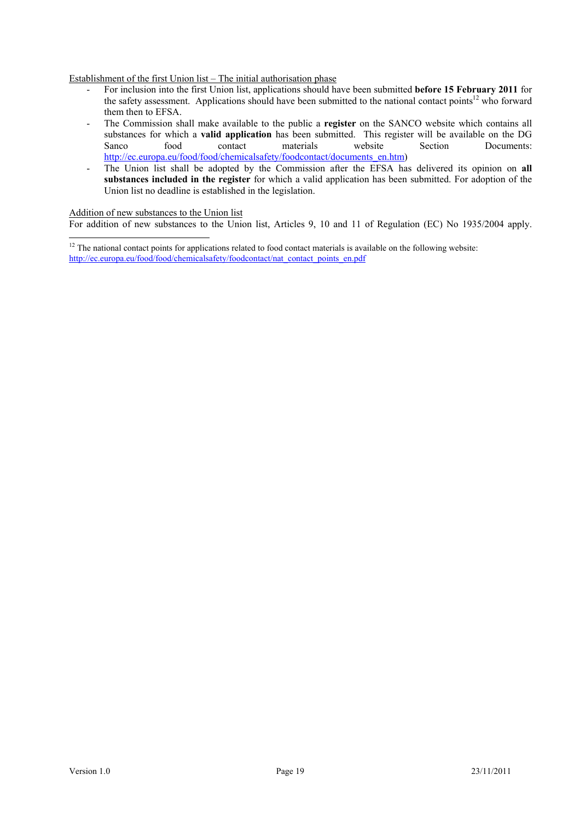Establishment of the first Union list – The initial authorisation phase

- For inclusion into the first Union list, applications should have been submitted **before 15 February 2011** for the safety assessment. Applications should have been submitted to the national contact points<sup>12</sup> who forward them then to EFSA.
- The Commission shall make available to the public a **register** on the SANCO website which contains all substances for which a **valid application** has been submitted. This register will be available on the DG Sanco food contact materials website Section Documents: http://ec.europa.eu/food/food/chemicalsafety/foodcontact/documents\_en.htm)
- The Union list shall be adopted by the Commission after the EFSA has delivered its opinion on all **substances included in the register** for which a valid application has been submitted. For adoption of the Union list no deadline is established in the legislation.

Addition of new substances to the Union list

For addition of new substances to the Union list, Articles 9, 10 and 11 of Regulation (EC) No 1935/2004 apply.

 $\overline{a}$  $12$  The national contact points for applications related to food contact materials is available on the following website: http://ec.europa.eu/food/food/chemicalsafety/foodcontact/nat\_contact\_points\_en.pdf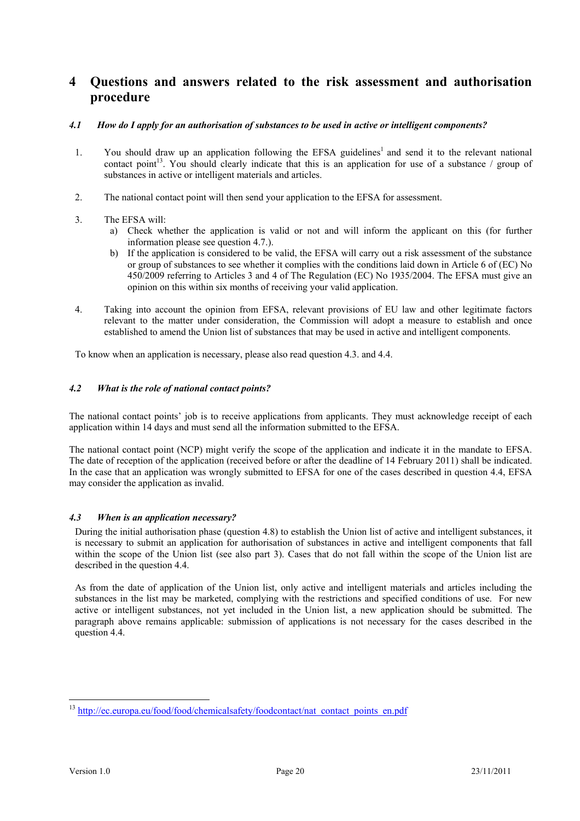### **4 Questions and answers related to the risk assessment and authorisation procedure**

#### *4.1 How do I apply for an authorisation of substances to be used in active or intelligent components?*

- 1. You should draw up an application following the EFSA guidelines<sup>1</sup> and send it to the relevant national contact point<sup>13</sup>. You should clearly indicate that this is an application for use of a substance / group of substances in active or intelligent materials and articles.
- 2. The national contact point will then send your application to the EFSA for assessment.
- 3. The EFSA will:
	- a) Check whether the application is valid or not and will inform the applicant on this (for further information please see question 4.7.).
	- b) If the application is considered to be valid, the EFSA will carry out a risk assessment of the substance or group of substances to see whether it complies with the conditions laid down in Article 6 of (EC) No 450/2009 referring to Articles 3 and 4 of The Regulation (EC) No 1935/2004. The EFSA must give an opinion on this within six months of receiving your valid application.
- 4. Taking into account the opinion from EFSA, relevant provisions of EU law and other legitimate factors relevant to the matter under consideration, the Commission will adopt a measure to establish and once established to amend the Union list of substances that may be used in active and intelligent components.

To know when an application is necessary, please also read question 4.3. and 4.4.

#### *4.2 What is the role of national contact points?*

The national contact points' job is to receive applications from applicants. They must acknowledge receipt of each application within 14 days and must send all the information submitted to the EFSA.

The national contact point (NCP) might verify the scope of the application and indicate it in the mandate to EFSA. The date of reception of the application (received before or after the deadline of 14 February 2011) shall be indicated. In the case that an application was wrongly submitted to EFSA for one of the cases described in question 4.4, EFSA may consider the application as invalid.

#### *4.3 When is an application necessary?*

During the initial authorisation phase (question 4.8) to establish the Union list of active and intelligent substances, it is necessary to submit an application for authorisation of substances in active and intelligent components that fall within the scope of the Union list (see also part 3). Cases that do not fall within the scope of the Union list are described in the question 4.4.

As from the date of application of the Union list, only active and intelligent materials and articles including the substances in the list may be marketed, complying with the restrictions and specified conditions of use. For new active or intelligent substances, not yet included in the Union list, a new application should be submitted. The paragraph above remains applicable: submission of applications is not necessary for the cases described in the question 4.4.

 $\overline{a}$ 

<sup>&</sup>lt;sup>13</sup> http://ec.europa.eu/food/food/chemicalsafety/foodcontact/nat\_contact\_points\_en.pdf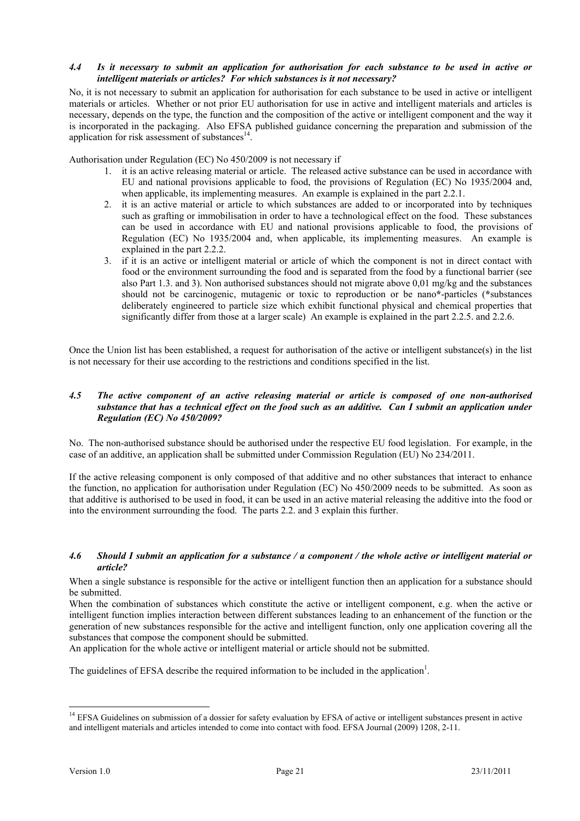#### *4.4 Is it necessary to submit an application for authorisation for each substance to be used in active or intelligent materials or articles? For which substances is it not necessary?*

No, it is not necessary to submit an application for authorisation for each substance to be used in active or intelligent materials or articles. Whether or not prior EU authorisation for use in active and intelligent materials and articles is necessary, depends on the type, the function and the composition of the active or intelligent component and the way it is incorporated in the packaging. Also EFSA published guidance concerning the preparation and submission of the application for risk assessment of substances<sup>14</sup>

Authorisation under Regulation (EC) No 450/2009 is not necessary if

- 1. it is an active releasing material or article. The released active substance can be used in accordance with EU and national provisions applicable to food, the provisions of Regulation (EC) No 1935/2004 and, when applicable, its implementing measures. An example is explained in the part 2.2.1.
- 2. it is an active material or article to which substances are added to or incorporated into by techniques such as grafting or immobilisation in order to have a technological effect on the food. These substances can be used in accordance with EU and national provisions applicable to food, the provisions of Regulation (EC) No 1935/2004 and, when applicable, its implementing measures. An example is explained in the part 2.2.2.
- 3. if it is an active or intelligent material or article of which the component is not in direct contact with food or the environment surrounding the food and is separated from the food by a functional barrier (see also Part 1.3. and 3). Non authorised substances should not migrate above 0,01 mg/kg and the substances should not be carcinogenic, mutagenic or toxic to reproduction or be nano**\***-particles (**\***substances deliberately engineered to particle size which exhibit functional physical and chemical properties that significantly differ from those at a larger scale) An example is explained in the part 2.2.5. and 2.2.6.

Once the Union list has been established, a request for authorisation of the active or intelligent substance(s) in the list is not necessary for their use according to the restrictions and conditions specified in the list.

#### *4.5 The active component of an active releasing material or article is composed of one non-authorised substance that has a technical effect on the food such as an additive. Can I submit an application under Regulation (EC) No 450/2009?*

No. The non-authorised substance should be authorised under the respective EU food legislation. For example, in the case of an additive, an application shall be submitted under Commission Regulation (EU) No 234/2011.

If the active releasing component is only composed of that additive and no other substances that interact to enhance the function, no application for authorisation under Regulation (EC) No 450/2009 needs to be submitted. As soon as that additive is authorised to be used in food, it can be used in an active material releasing the additive into the food or into the environment surrounding the food. The parts 2.2. and 3 explain this further.

#### *4.6 Should I submit an application for a substance / a component / the whole active or intelligent material or article?*

When a single substance is responsible for the active or intelligent function then an application for a substance should be submitted.

When the combination of substances which constitute the active or intelligent component, e.g. when the active or intelligent function implies interaction between different substances leading to an enhancement of the function or the generation of new substances responsible for the active and intelligent function, only one application covering all the substances that compose the component should be submitted.

An application for the whole active or intelligent material or article should not be submitted.

The guidelines of EFSA describe the required information to be included in the application<sup>1</sup>.

 $\overline{a}$ <sup>14</sup> EFSA Guidelines on submission of a dossier for safety evaluation by EFSA of active or intelligent substances present in active and intelligent materials and articles intended to come into contact with food. EFSA Journal (2009) 1208, 2-11.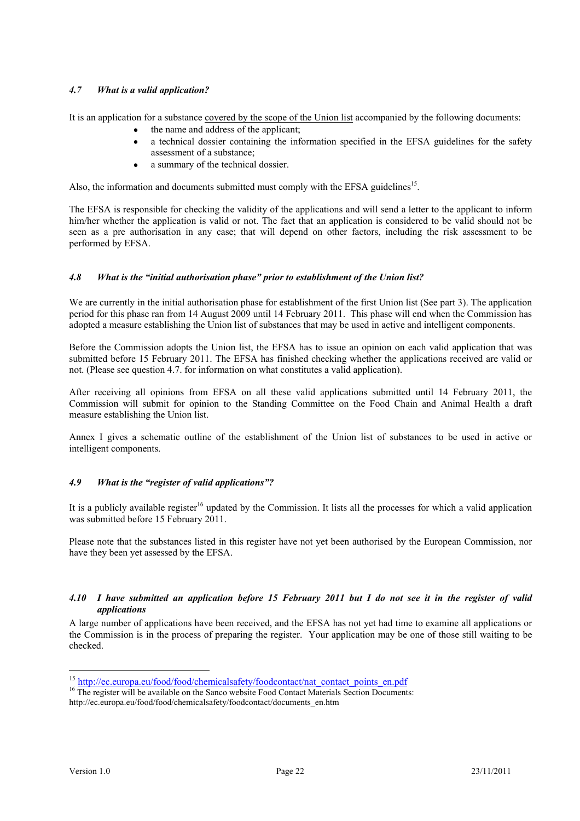#### *4.7 What is a valid application?*

It is an application for a substance covered by the scope of the Union list accompanied by the following documents:

- the name and address of the applicant;
- a technical dossier containing the information specified in the EFSA guidelines for the safety assessment of a substance;
- a summary of the technical dossier.

Also, the information and documents submitted must comply with the EFSA guidelines<sup>15</sup>.

The EFSA is responsible for checking the validity of the applications and will send a letter to the applicant to inform him/her whether the application is valid or not. The fact that an application is considered to be valid should not be seen as a pre authorisation in any case; that will depend on other factors, including the risk assessment to be performed by EFSA.

#### *4.8 What is the "initial authorisation phase" prior to establishment of the Union list?*

We are currently in the initial authorisation phase for establishment of the first Union list (See part 3). The application period for this phase ran from 14 August 2009 until 14 February 2011. This phase will end when the Commission has adopted a measure establishing the Union list of substances that may be used in active and intelligent components.

Before the Commission adopts the Union list, the EFSA has to issue an opinion on each valid application that was submitted before 15 February 2011. The EFSA has finished checking whether the applications received are valid or not. (Please see question 4.7. for information on what constitutes a valid application).

After receiving all opinions from EFSA on all these valid applications submitted until 14 February 2011, the Commission will submit for opinion to the Standing Committee on the Food Chain and Animal Health a draft measure establishing the Union list.

Annex I gives a schematic outline of the establishment of the Union list of substances to be used in active or intelligent components.

#### *4.9 What is the "register of valid applications"?*

It is a publicly available register<sup>16</sup> updated by the Commission. It lists all the processes for which a valid application was submitted before 15 February 2011.

Please note that the substances listed in this register have not yet been authorised by the European Commission, nor have they been yet assessed by the EFSA.

#### *4.10 I have submitted an application before 15 February 2011 but I do not see it in the register of valid applications*

A large number of applications have been received, and the EFSA has not yet had time to examine all applications or the Commission is in the process of preparing the register. Your application may be one of those still waiting to be checked.

 $\overline{a}$ <sup>15</sup> http://ec.europa.eu/food/food/chemicalsafety/foodcontact/nat\_contact\_points\_en.pdf The register will be available on the Sanco website Food Contact Materials Section Documents:

<sup>&</sup>lt;sup>16</sup> The register will be available on the Sanco website Food Contact Materials Section Documents:<br>http://ec.europa.eu/food/food/chemicalsafety/foodcontact/documents\_en.htm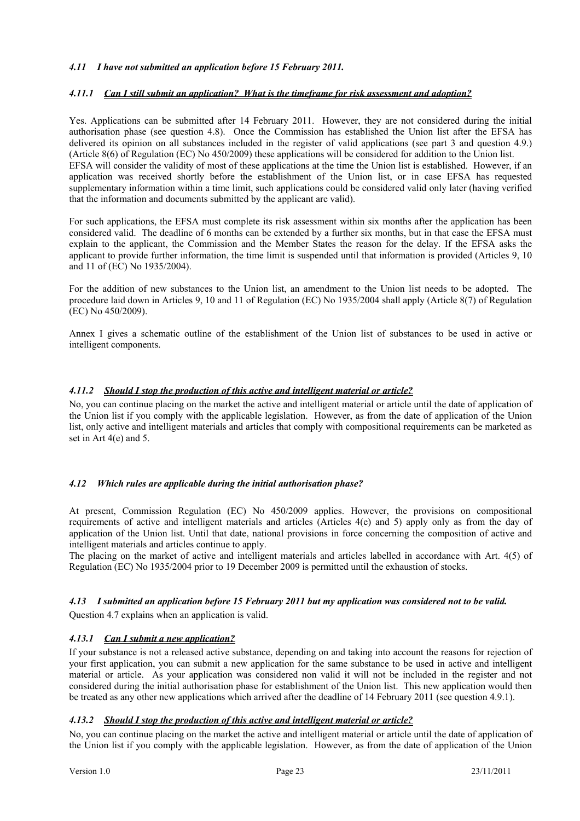#### *4.11 I have not submitted an application before 15 February 2011.*

#### *4.11.1 Can I still submit an application? What is the timeframe for risk assessment and adoption?*

Yes. Applications can be submitted after 14 February 2011. However, they are not considered during the initial authorisation phase (see question 4.8). Once the Commission has established the Union list after the EFSA has delivered its opinion on all substances included in the register of valid applications (see part 3 and question 4.9.) (Article 8(6) of Regulation (EC) No 450/2009) these applications will be considered for addition to the Union list. EFSA will consider the validity of most of these applications at the time the Union list is established. However, if an application was received shortly before the establishment of the Union list, or in case EFSA has requested supplementary information within a time limit, such applications could be considered valid only later (having verified that the information and documents submitted by the applicant are valid).

For such applications, the EFSA must complete its risk assessment within six months after the application has been considered valid. The deadline of 6 months can be extended by a further six months, but in that case the EFSA must explain to the applicant, the Commission and the Member States the reason for the delay. If the EFSA asks the applicant to provide further information, the time limit is suspended until that information is provided (Articles 9, 10 and 11 of (EC) No 1935/2004).

For the addition of new substances to the Union list, an amendment to the Union list needs to be adopted. The procedure laid down in Articles 9, 10 and 11 of Regulation (EC) No 1935/2004 shall apply (Article 8(7) of Regulation (EC) No 450/2009).

Annex I gives a schematic outline of the establishment of the Union list of substances to be used in active or intelligent components.

#### *4.11.2 Should I stop the production of this active and intelligent material or article?*

No, you can continue placing on the market the active and intelligent material or article until the date of application of the Union list if you comply with the applicable legislation. However, as from the date of application of the Union list, only active and intelligent materials and articles that comply with compositional requirements can be marketed as set in Art 4(e) and 5.

#### *4.12 Which rules are applicable during the initial authorisation phase?*

At present, Commission Regulation (EC) No 450/2009 applies. However, the provisions on compositional requirements of active and intelligent materials and articles (Articles 4(e) and 5) apply only as from the day of application of the Union list. Until that date, national provisions in force concerning the composition of active and intelligent materials and articles continue to apply.

The placing on the market of active and intelligent materials and articles labelled in accordance with Art. 4(5) of Regulation (EC) No 1935/2004 prior to 19 December 2009 is permitted until the exhaustion of stocks.

### *4.13 I submitted an application before 15 February 2011 but my application was considered not to be valid.*

Question 4.7 explains when an application is valid.

#### *4.13.1 Can I submit a new application?*

If your substance is not a released active substance, depending on and taking into account the reasons for rejection of your first application, you can submit a new application for the same substance to be used in active and intelligent material or article. As your application was considered non valid it will not be included in the register and not considered during the initial authorisation phase for establishment of the Union list. This new application would then be treated as any other new applications which arrived after the deadline of 14 February 2011 (see question 4.9.1).

#### *4.13.2 Should I stop the production of this active and intelligent material or article?*

No, you can continue placing on the market the active and intelligent material or article until the date of application of the Union list if you comply with the applicable legislation. However, as from the date of application of the Union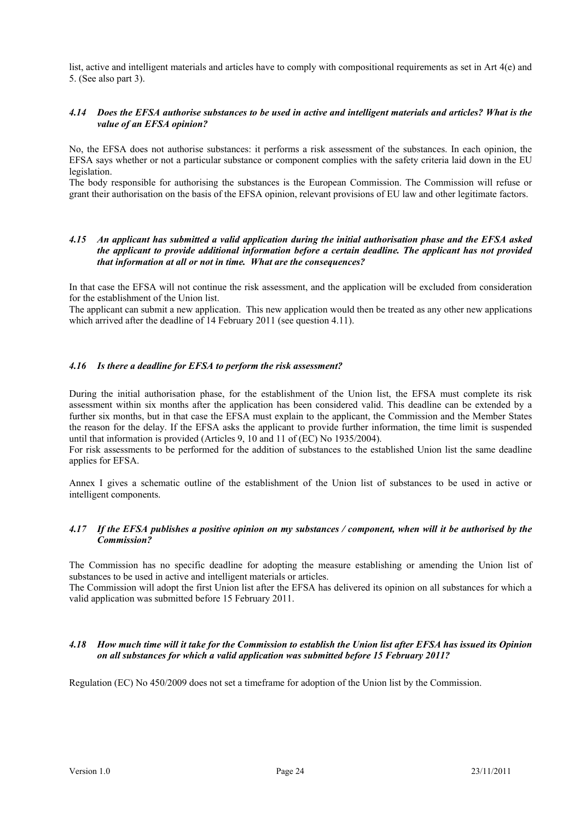list, active and intelligent materials and articles have to comply with compositional requirements as set in Art 4(e) and 5. (See also part 3).

#### *4.14 Does the EFSA authorise substances to be used in active and intelligent materials and articles? What is the value of an EFSA opinion?*

No, the EFSA does not authorise substances: it performs a risk assessment of the substances. In each opinion, the EFSA says whether or not a particular substance or component complies with the safety criteria laid down in the EU legislation.

The body responsible for authorising the substances is the European Commission. The Commission will refuse or grant their authorisation on the basis of the EFSA opinion, relevant provisions of EU law and other legitimate factors.

#### *4.15 An applicant has submitted a valid application during the initial authorisation phase and the EFSA asked the applicant to provide additional information before a certain deadline. The applicant has not provided that information at all or not in time. What are the consequences?*

In that case the EFSA will not continue the risk assessment, and the application will be excluded from consideration for the establishment of the Union list.

The applicant can submit a new application. This new application would then be treated as any other new applications which arrived after the deadline of 14 February 2011 (see question 4.11).

#### *4.16 Is there a deadline for EFSA to perform the risk assessment?*

During the initial authorisation phase, for the establishment of the Union list, the EFSA must complete its risk assessment within six months after the application has been considered valid. This deadline can be extended by a further six months, but in that case the EFSA must explain to the applicant, the Commission and the Member States the reason for the delay. If the EFSA asks the applicant to provide further information, the time limit is suspended until that information is provided (Articles 9, 10 and 11 of (EC) No 1935/2004).

For risk assessments to be performed for the addition of substances to the established Union list the same deadline applies for EFSA.

Annex I gives a schematic outline of the establishment of the Union list of substances to be used in active or intelligent components.

#### *4.17 If the EFSA publishes a positive opinion on my substances / component, when will it be authorised by the Commission?*

The Commission has no specific deadline for adopting the measure establishing or amending the Union list of substances to be used in active and intelligent materials or articles.

The Commission will adopt the first Union list after the EFSA has delivered its opinion on all substances for which a valid application was submitted before 15 February 2011.

#### *4.18 How much time will it take for the Commission to establish the Union list after EFSA has issued its Opinion on all substances for which a valid application was submitted before 15 February 2011?*

Regulation (EC) No 450/2009 does not set a timeframe for adoption of the Union list by the Commission.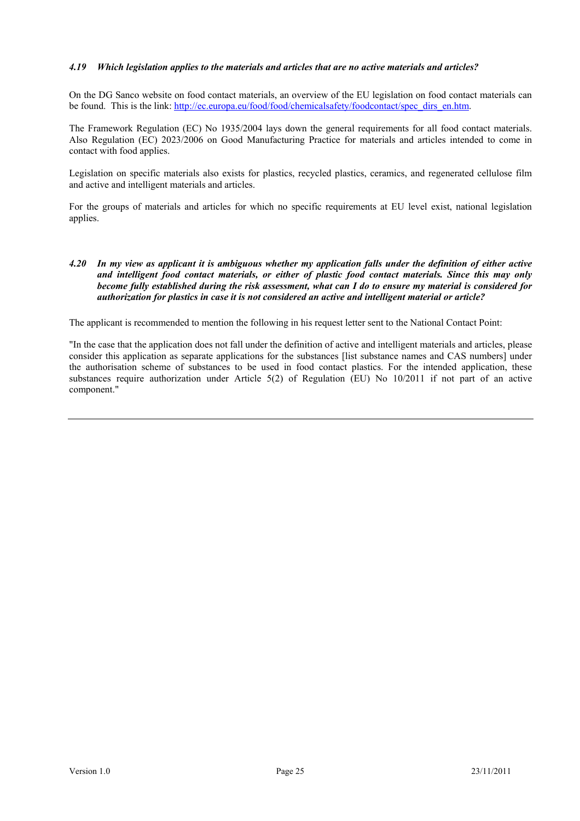#### *4.19 Which legislation applies to the materials and articles that are no active materials and articles?*

On the DG Sanco website on food contact materials, an overview of the EU legislation on food contact materials can be found. This is the link: http://ec.europa.eu/food/food/chemicalsafety/foodcontact/spec\_dirs\_en.htm.

The Framework Regulation (EC) No 1935/2004 lays down the general requirements for all food contact materials. Also Regulation (EC) 2023/2006 on Good Manufacturing Practice for materials and articles intended to come in contact with food applies.

Legislation on specific materials also exists for plastics, recycled plastics, ceramics, and regenerated cellulose film and active and intelligent materials and articles.

For the groups of materials and articles for which no specific requirements at EU level exist, national legislation applies.

#### *4.20 In my view as applicant it is ambiguous whether my application falls under the definition of either active and intelligent food contact materials, or either of plastic food contact materials. Since this may only become fully established during the risk assessment, what can I do to ensure my material is considered for authorization for plastics in case it is not considered an active and intelligent material or article?*

The applicant is recommended to mention the following in his request letter sent to the National Contact Point:

"In the case that the application does not fall under the definition of active and intelligent materials and articles, please consider this application as separate applications for the substances [list substance names and CAS numbers] under the authorisation scheme of substances to be used in food contact plastics. For the intended application, these substances require authorization under Article 5(2) of Regulation (EU) No 10/2011 if not part of an active component."